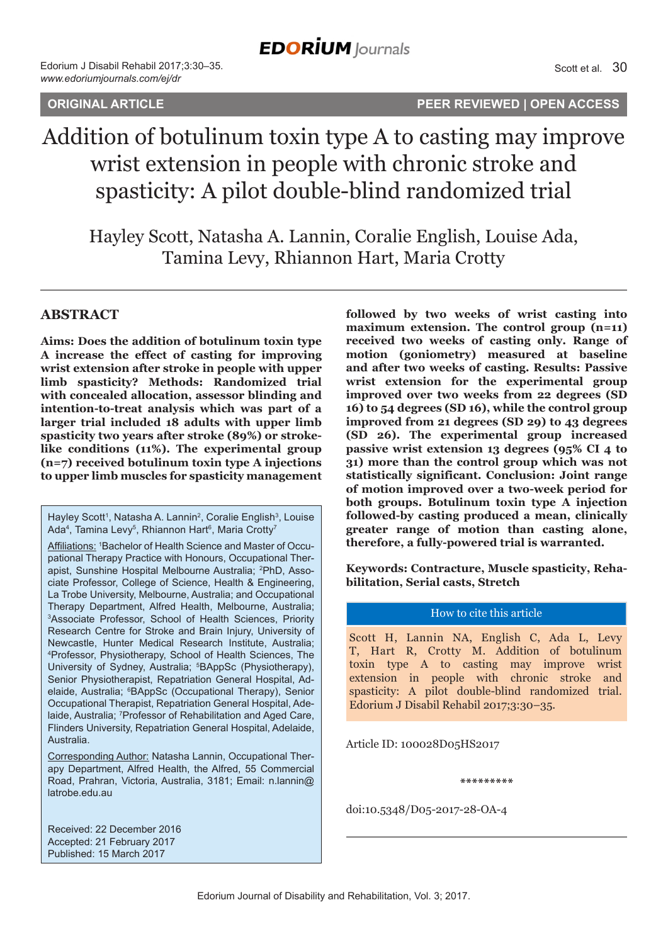**ORIGINAL ARTICLE PEER REVIEWED | OPEN ACCESS**

# Addition of botulinum toxin type A to casting may improve wrist extension in people with chronic stroke and spasticity: A pilot double-blind randomized trial

Hayley Scott, Natasha A. Lannin, Coralie English, Louise Ada, Tamina Levy, Rhiannon Hart, Maria Crotty

## **ABSTRACT**

**Aims: Does the addition of botulinum toxin type A increase the effect of casting for improving wrist extension after stroke in people with upper limb spasticity? Methods: Randomized trial with concealed allocation, assessor blinding and intention-to-treat analysis which was part of a larger trial included 18 adults with upper limb spasticity two years after stroke (89%) or strokelike conditions (11%). The experimental group (n=7) received botulinum toxin type A injections to upper limb muscles for spasticity management** 

Affiliations: 1Bachelor of Health Science and Master of Occupational Therapy Practice with Honours, Occupational Therapist, Sunshine Hospital Melbourne Australia; <sup>2</sup>PhD, Associate Professor, College of Science, Health & Engineering, La Trobe University, Melbourne, Australia; and Occupational Therapy Department, Alfred Health, Melbourne, Australia; 3 Associate Professor, School of Health Sciences, Priority Research Centre for Stroke and Brain Injury, University of Newcastle, Hunter Medical Research Institute, Australia; 4 Professor, Physiotherapy, School of Health Sciences, The University of Sydney, Australia; <sup>5</sup>BAppSc (Physiotherapy), Senior Physiotherapist, Repatriation General Hospital, Adelaide, Australia; 6 BAppSc (Occupational Therapy), Senior Occupational Therapist, Repatriation General Hospital, Adelaide, Australia; 7 Professor of Rehabilitation and Aged Care, Flinders University, Repatriation General Hospital, Adelaide, Australia.

Corresponding Author: Natasha Lannin, Occupational Therapy Department, Alfred Health, the Alfred, 55 Commercial Road, Prahran, Victoria, Australia, 3181; Email: n.lannin@ latrobe.edu.au

**followed by two weeks of wrist casting into maximum extension. The control group (n=11) received two weeks of casting only. Range of motion (goniometry) measured at baseline and after two weeks of casting. Results: Passive wrist extension for the experimental group improved over two weeks from 22 degrees (SD 16) to 54 degrees (SD 16), while the control group improved from 21 degrees (SD 29) to 43 degrees (SD 26). The experimental group increased passive wrist extension 13 degrees (95% CI 4 to 31) more than the control group which was not statistically significant. Conclusion: Joint range of motion improved over a two-week period for both groups. Botulinum toxin type A injection followed-by casting produced a mean, clinically greater range of motion than casting alone, therefore, a fully-powered trial is warranted.**

**Keywords: Contracture, Muscle spasticity, Rehabilitation, Serial casts, Stretch**

#### How to cite this article

Scott H, Lannin NA, English C, Ada L, Levy T, Hart R, Crotty M. Addition of botulinum toxin type A to casting may improve wrist extension in people with chronic stroke and spasticity: A pilot double-blind randomized trial. Edorium J Disabil Rehabil 2017;3:30–35.

Article ID: 100028D05HS2017

**\*\*\*\*\*\*\*\*\***

doi:10.5348/D05-2017-28-OA-4

Received: 22 December 2016 Accepted: 21 February 2017 Published: 15 March 2017

Hayley Scott<sup>1</sup>, Natasha A. Lannin<sup>2</sup>, Coralie English<sup>3</sup>, Louise Ada<sup>4</sup>, Tamina Levy<sup>5</sup>, Rhiannon Hart<sup>6</sup>, Maria Crotty<sup>7</sup>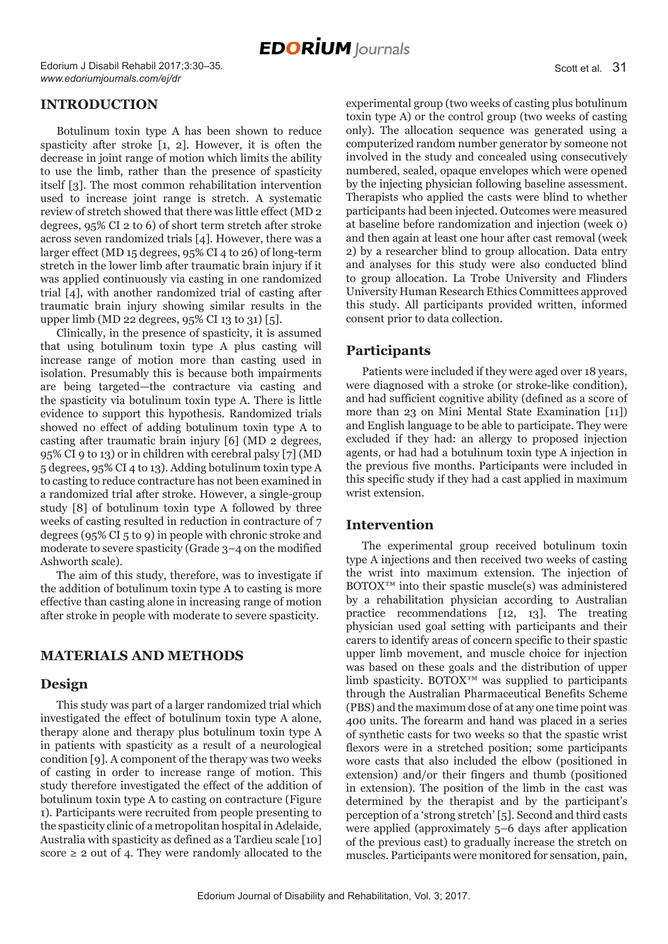Edorium J Disabil Rehabil 2017;3:30–35. *www.edoriumjournals.com/ej/dr*

## **INTRODUCTION**

Botulinum toxin type A has been shown to reduce spasticity after stroke [1, 2]. However, it is often the decrease in joint range of motion which limits the ability to use the limb, rather than the presence of spasticity itself [3]. The most common rehabilitation intervention used to increase joint range is stretch. A systematic review of stretch showed that there was little effect (MD 2 degrees, 95% CI 2 to 6) of short term stretch after stroke across seven randomized trials [4]. However, there was a larger effect (MD 15 degrees, 95% CI 4 to 26) of long-term stretch in the lower limb after traumatic brain injury if it was applied continuously via casting in one randomized trial [4], with another randomized trial of casting after traumatic brain injury showing similar results in the upper limb (MD 22 degrees, 95% CI 13 to 31) [5].

Clinically, in the presence of spasticity, it is assumed that using botulinum toxin type A plus casting will increase range of motion more than casting used in isolation. Presumably this is because both impairments are being targeted—the contracture via casting and the spasticity via botulinum toxin type A. There is little evidence to support this hypothesis. Randomized trials showed no effect of adding botulinum toxin type A to casting after traumatic brain injury [6] (MD 2 degrees, 95% CI 9 to 13) or in children with cerebral palsy [7] (MD 5 degrees, 95% CI 4 to 13). Adding botulinum toxin type A to casting to reduce contracture has not been examined in a randomized trial after stroke. However, a single-group study [8] of botulinum toxin type A followed by three weeks of casting resulted in reduction in contracture of 7 degrees (95% CI 5 to 9) in people with chronic stroke and moderate to severe spasticity (Grade 3–4 on the modified Ashworth scale).

The aim of this study, therefore, was to investigate if the addition of botulinum toxin type A to casting is more effective than casting alone in increasing range of motion after stroke in people with moderate to severe spasticity.

## **MATERIALS AND METHODS**

#### **Design**

This study was part of a larger randomized trial which investigated the effect of botulinum toxin type A alone, therapy alone and therapy plus botulinum toxin type A in patients with spasticity as a result of a neurological condition [9]. A component of the therapy was two weeks of casting in order to increase range of motion. This study therefore investigated the effect of the addition of botulinum toxin type A to casting on contracture (Figure 1). Participants were recruited from people presenting to the spasticity clinic of a metropolitan hospital in Adelaide, Australia with spasticity as defined as a Tardieu scale [10] score  $\geq 2$  out of 4. They were randomly allocated to the

experimental group (two weeks of casting plus botulinum toxin type A) or the control group (two weeks of casting only). The allocation sequence was generated using a computerized random number generator by someone not involved in the study and concealed using consecutively numbered, sealed, opaque envelopes which were opened by the injecting physician following baseline assessment. Therapists who applied the casts were blind to whether participants had been injected. Outcomes were measured at baseline before randomization and injection (week 0) and then again at least one hour after cast removal (week 2) by a researcher blind to group allocation. Data entry and analyses for this study were also conducted blind to group allocation. La Trobe University and Flinders University Human Research Ethics Committees approved this study. All participants provided written, informed consent prior to data collection.

## **Participants**

Patients were included if they were aged over 18 years, were diagnosed with a stroke (or stroke-like condition), and had sufficient cognitive ability (defined as a score of more than 23 on Mini Mental State Examination [11]) and English language to be able to participate. They were excluded if they had: an allergy to proposed injection agents, or had had a botulinum toxin type A injection in the previous five months. Participants were included in this specific study if they had a cast applied in maximum wrist extension.

#### **Intervention**

The experimental group received botulinum toxin type A injections and then received two weeks of casting the wrist into maximum extension. The injection of  $BOTOX^{TM}$  into their spastic muscle(s) was administered by a rehabilitation physician according to Australian practice recommendations [12, 13]. The treating physician used goal setting with participants and their carers to identify areas of concern specific to their spastic upper limb movement, and muscle choice for injection was based on these goals and the distribution of upper limb spasticity. BOTOX<sup>™</sup> was supplied to participants through the Australian Pharmaceutical Benefits Scheme (PBS) and the maximum dose of at any one time point was 400 units. The forearm and hand was placed in a series of synthetic casts for two weeks so that the spastic wrist flexors were in a stretched position; some participants wore casts that also included the elbow (positioned in extension) and/or their fingers and thumb (positioned in extension). The position of the limb in the cast was determined by the therapist and by the participant's perception of a 'strong stretch' [5]. Second and third casts were applied (approximately 5–6 days after application of the previous cast) to gradually increase the stretch on muscles. Participants were monitored for sensation, pain,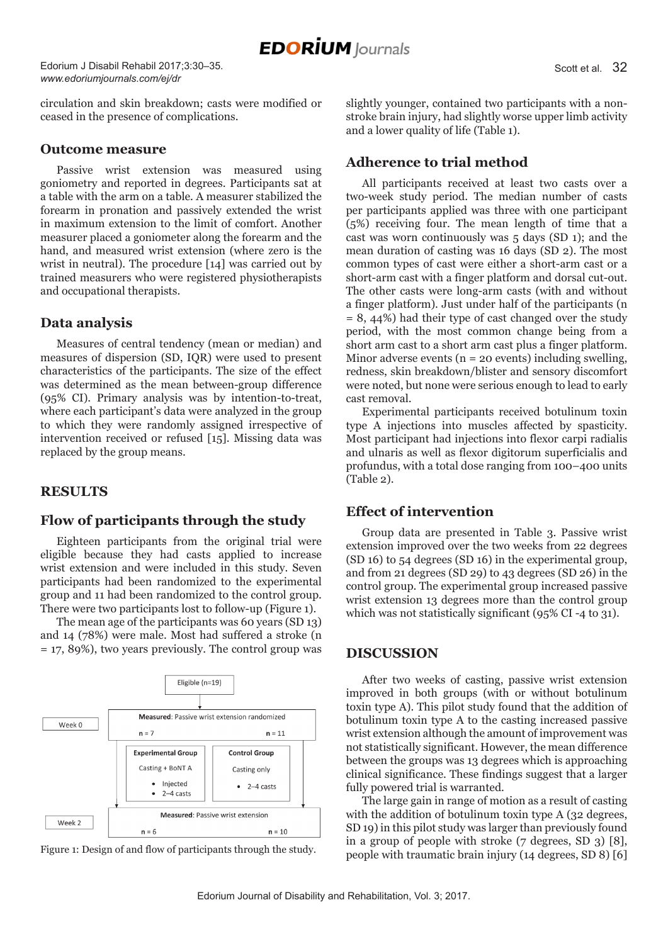Edorium J Disabil Rehabil 2017;3:30–35. *www.edoriumjournals.com/ej/dr*

circulation and skin breakdown; casts were modified or ceased in the presence of complications.

#### **Outcome measure**

Passive wrist extension was measured using goniometry and reported in degrees. Participants sat at a table with the arm on a table. A measurer stabilized the forearm in pronation and passively extended the wrist in maximum extension to the limit of comfort. Another measurer placed a goniometer along the forearm and the hand, and measured wrist extension (where zero is the wrist in neutral). The procedure [14] was carried out by trained measurers who were registered physiotherapists and occupational therapists.

## **Data analysis**

Measures of central tendency (mean or median) and measures of dispersion (SD, IQR) were used to present characteristics of the participants. The size of the effect was determined as the mean between-group difference (95% CI). Primary analysis was by intention-to-treat, where each participant's data were analyzed in the group to which they were randomly assigned irrespective of intervention received or refused [15]. Missing data was replaced by the group means.

## **RESULTS**

## **Flow of participants through the study**

Eighteen participants from the original trial were eligible because they had casts applied to increase wrist extension and were included in this study. Seven participants had been randomized to the experimental group and 11 had been randomized to the control group. There were two participants lost to follow-up (Figure 1).

The mean age of the participants was 60 years (SD 13) and 14 (78%) were male. Most had suffered a stroke (n = 17, 89%), two years previously. The control group was



slightly younger, contained two participants with a nonstroke brain injury, had slightly worse upper limb activity and a lower quality of life (Table 1).

## **Adherence to trial method**

All participants received at least two casts over a two-week study period. The median number of casts per participants applied was three with one participant (5%) receiving four. The mean length of time that a cast was worn continuously was 5 days (SD 1); and the mean duration of casting was 16 days (SD 2). The most common types of cast were either a short-arm cast or a short-arm cast with a finger platform and dorsal cut-out. The other casts were long-arm casts (with and without a finger platform). Just under half of the participants (n = 8, 44%) had their type of cast changed over the study period, with the most common change being from a short arm cast to a short arm cast plus a finger platform. Minor adverse events ( $n = 20$  events) including swelling, redness, skin breakdown/blister and sensory discomfort were noted, but none were serious enough to lead to early cast removal.

Experimental participants received botulinum toxin type A injections into muscles affected by spasticity. Most participant had injections into flexor carpi radialis and ulnaris as well as flexor digitorum superficialis and profundus, with a total dose ranging from 100–400 units (Table 2).

## **Effect of intervention**

Group data are presented in Table 3. Passive wrist extension improved over the two weeks from 22 degrees (SD 16) to 54 degrees (SD 16) in the experimental group, and from 21 degrees (SD 29) to 43 degrees (SD 26) in the control group. The experimental group increased passive wrist extension 13 degrees more than the control group which was not statistically significant (95% CI -4 to 31).

#### **DISCUSSION**

After two weeks of casting, passive wrist extension improved in both groups (with or without botulinum toxin type A). This pilot study found that the addition of botulinum toxin type A to the casting increased passive wrist extension although the amount of improvement was not statistically significant. However, the mean difference between the groups was 13 degrees which is approaching clinical significance. These findings suggest that a larger fully powered trial is warranted.

The large gain in range of motion as a result of casting with the addition of botulinum toxin type A (32 degrees, SD 19) in this pilot study was larger than previously found in a group of people with stroke (7 degrees, SD 3) [8], Figure 1: Design of and flow of participants through the study.<br>
people with traumatic brain injury (14 degrees, SD 8) [6]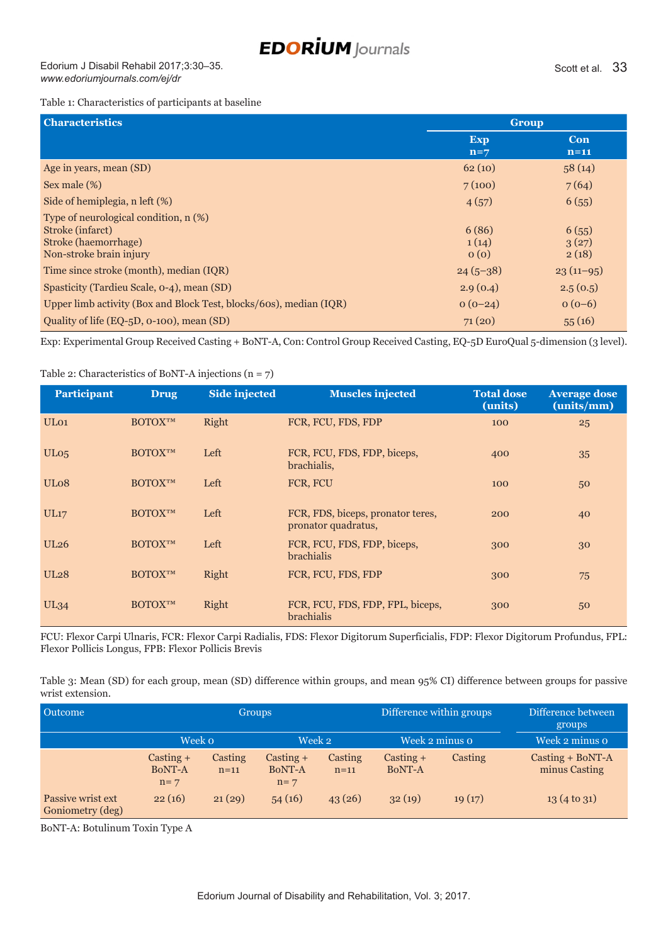## **EDORİUM** Journals

Edorium J Disabil Rehabil 2017;3:30–35. *www.edoriumjournals.com/ej/dr*

#### Table 1: Characteristics of participants at baseline

| <b>Characteristics</b>                                                                                              | Group                  |                         |
|---------------------------------------------------------------------------------------------------------------------|------------------------|-------------------------|
|                                                                                                                     | <b>Exp</b><br>$n=7$    | Con<br>$n=11$           |
| Age in years, mean (SD)                                                                                             | 62(10)                 | 58(14)                  |
| Sex male (%)                                                                                                        | 7(100)                 | 7(64)                   |
| Side of hemiplegia, n left (%)                                                                                      | 4(57)                  | 6(55)                   |
| Type of neurological condition, n (%)<br>Stroke (infarct)<br><b>Stroke (haemorrhage)</b><br>Non-stroke brain injury | 6(86)<br>1(14)<br>0(0) | 6(55)<br>3(27)<br>2(18) |
| Time since stroke (month), median (IQR)                                                                             | $24(5-38)$             | $23(11-95)$             |
| Spasticity (Tardieu Scale, 0-4), mean (SD)                                                                          | 2.9(0.4)               | 2.5(0.5)                |
| Upper limb activity (Box and Block Test, blocks/60s), median (IQR)                                                  | $0(0-24)$              | $o(0-6)$                |
| Quality of life (EQ-5D, 0-100), mean (SD)                                                                           | 71(20)                 | 55(16)                  |

Exp: Experimental Group Received Casting + BoNT-A, Con: Control Group Received Casting, EQ-5D EuroQual 5-dimension (3 level).

#### Table 2: Characteristics of BoNT-A injections (n = 7)

| <b>Participant</b> | <b>Drug</b>    | <b>Side injected</b> | <b>Muscles injected</b>                                  | <b>Total dose</b><br>(units) | <b>Average dose</b><br>(units/mm) |
|--------------------|----------------|----------------------|----------------------------------------------------------|------------------------------|-----------------------------------|
| UL <sub>01</sub>   | <b>BOTOXTM</b> | Right                | FCR, FCU, FDS, FDP                                       | 100                          | 25                                |
| UL <sub>05</sub>   | <b>BOTOXTM</b> | Left                 | FCR, FCU, FDS, FDP, biceps,<br>brachialis,               | 400                          | 35                                |
| UL <sub>08</sub>   | <b>BOTOXTM</b> | Left                 | FCR, FCU                                                 | 100                          | 50                                |
| UL17               | <b>BOTOXTM</b> | Left                 | FCR, FDS, biceps, pronator teres,<br>pronator quadratus, | 200                          | 40                                |
| <b>UL26</b>        | <b>BOTOXTM</b> | Left                 | FCR, FCU, FDS, FDP, biceps,<br><b>brachialis</b>         | 300                          | 30                                |
| <b>UL28</b>        | <b>BOTOXTM</b> | Right                | FCR, FCU, FDS, FDP                                       | 300                          | 75                                |
| <b>UL34</b>        | <b>BOTOXTM</b> | Right                | FCR, FCU, FDS, FDP, FPL, biceps,<br><b>brachialis</b>    | 300                          | 50                                |

FCU: Flexor Carpi Ulnaris, FCR: Flexor Carpi Radialis, FDS: Flexor Digitorum Superficialis, FDP: Flexor Digitorum Profundus, FPL: Flexor Pollicis Longus, FPB: Flexor Pollicis Brevis

Table 3: Mean (SD) for each group, mean (SD) difference within groups, and mean 95% CI) difference between groups for passive wrist extension.

| Outcome                               | <b>Groups</b>                  |                   |                                       |                   | Difference within groups |         | Difference between<br>groups        |
|---------------------------------------|--------------------------------|-------------------|---------------------------------------|-------------------|--------------------------|---------|-------------------------------------|
|                                       | Week o                         |                   | Week 2                                |                   | Week 2 minus o           |         | Week 2 minus o                      |
|                                       | $Casting +$<br>BoNT-A<br>$n=7$ | Casting<br>$n=11$ | $\alpha$ Casting +<br>BoNT-A<br>$n=7$ | Casting<br>$n=11$ | $Casting +$<br>BoNT-A    | Casting | $Casting + BoNT-A$<br>minus Casting |
| Passive wrist ext<br>Goniometry (deg) | 22(16)                         | 21(29)            | 54(16)                                | 43(26)            | 32(19)                   | 19(17)  | $13(4 \text{ to } 31)$              |

BoNT-A: Botulinum Toxin Type A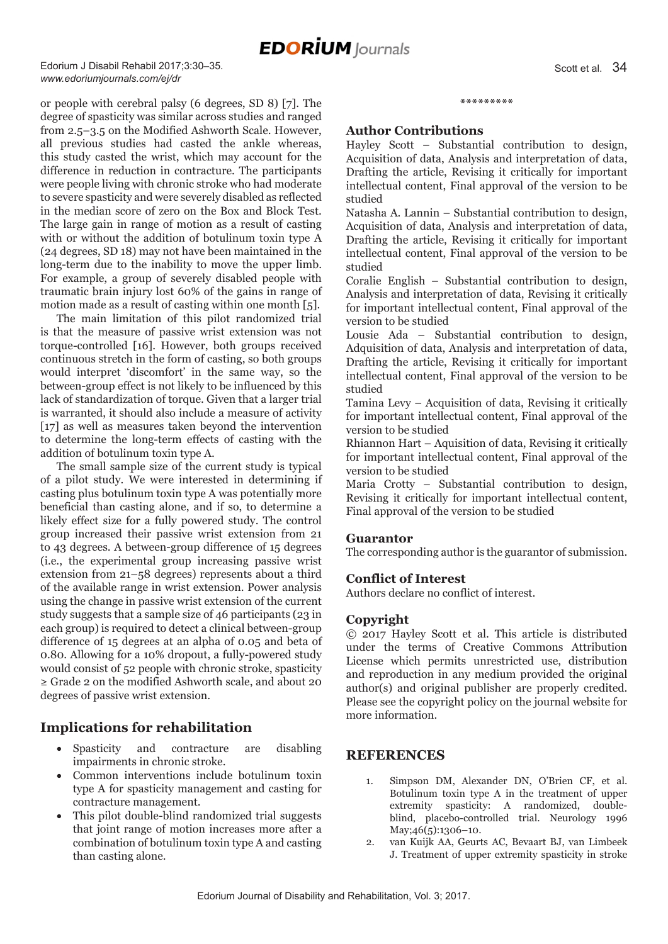## **EDORIUM** Journals

Edorium J Disabil Rehabil 2017;3:30–35. *www.edoriumjournals.com/ej/dr*

or people with cerebral palsy (6 degrees, SD 8) [7]. The degree of spasticity was similar across studies and ranged from 2.5–3.5 on the Modified Ashworth Scale. However, all previous studies had casted the ankle whereas, this study casted the wrist, which may account for the difference in reduction in contracture. The participants were people living with chronic stroke who had moderate to severe spasticity and were severely disabled as reflected in the median score of zero on the Box and Block Test. The large gain in range of motion as a result of casting with or without the addition of botulinum toxin type A (24 degrees, SD 18) may not have been maintained in the long-term due to the inability to move the upper limb. For example, a group of severely disabled people with traumatic brain injury lost 60% of the gains in range of motion made as a result of casting within one month [5].

The main limitation of this pilot randomized trial is that the measure of passive wrist extension was not torque-controlled [16]. However, both groups received continuous stretch in the form of casting, so both groups would interpret 'discomfort' in the same way, so the between-group effect is not likely to be influenced by this lack of standardization of torque. Given that a larger trial is warranted, it should also include a measure of activity [17] as well as measures taken beyond the intervention to determine the long-term effects of casting with the addition of botulinum toxin type A.

The small sample size of the current study is typical of a pilot study. We were interested in determining if casting plus botulinum toxin type A was potentially more beneficial than casting alone, and if so, to determine a likely effect size for a fully powered study. The control group increased their passive wrist extension from 21 to 43 degrees. A between-group difference of 15 degrees (i.e., the experimental group increasing passive wrist extension from 21–58 degrees) represents about a third of the available range in wrist extension. Power analysis using the change in passive wrist extension of the current study suggests that a sample size of 46 participants (23 in each group) is required to detect a clinical between-group difference of 15 degrees at an alpha of 0.05 and beta of 0.80. Allowing for a 10% dropout, a fully-powered study would consist of 52 people with chronic stroke, spasticity ≥ Grade 2 on the modified Ashworth scale, and about 20 degrees of passive wrist extension.

## **Implications for rehabilitation**

- Spasticity and contracture are disabling impairments in chronic stroke.
- Common interventions include botulinum toxin type A for spasticity management and casting for contracture management.
- This pilot double-blind randomized trial suggests that joint range of motion increases more after a combination of botulinum toxin type A and casting than casting alone.

## **Author Contributions**

Hayley Scott – Substantial contribution to design, Acquisition of data, Analysis and interpretation of data, Drafting the article, Revising it critically for important intellectual content, Final approval of the version to be studied

**\*\*\*\*\*\*\*\*\***

Natasha A. Lannin – Substantial contribution to design, Acquisition of data, Analysis and interpretation of data, Drafting the article, Revising it critically for important intellectual content, Final approval of the version to be studied

Coralie English – Substantial contribution to design, Analysis and interpretation of data, Revising it critically for important intellectual content, Final approval of the version to be studied

Lousie Ada – Substantial contribution to design, Adquisition of data, Analysis and interpretation of data, Drafting the article, Revising it critically for important intellectual content, Final approval of the version to be studied

Tamina Levy – Acquisition of data, Revising it critically for important intellectual content, Final approval of the version to be studied

Rhiannon Hart – Aquisition of data, Revising it critically for important intellectual content, Final approval of the version to be studied

Maria Crotty – Substantial contribution to design, Revising it critically for important intellectual content, Final approval of the version to be studied

#### **Guarantor**

The corresponding author is the guarantor of submission.

#### **Conflict of Interest**

Authors declare no conflict of interest.

#### **Copyright**

© 2017 Hayley Scott et al. This article is distributed under the terms of Creative Commons Attribution License which permits unrestricted use, distribution and reproduction in any medium provided the original author(s) and original publisher are properly credited. Please see the copyright policy on the journal website for more information.

#### **REFERENCES**

- 1. Simpson DM, Alexander DN, O'Brien CF, et al. Botulinum toxin type A in the treatment of upper extremity spasticity: A randomized, doubleblind, placebo-controlled trial. Neurology 1996 May;46(5):1306-10.
- 2. van Kuijk AA, Geurts AC, Bevaart BJ, van Limbeek J. Treatment of upper extremity spasticity in stroke